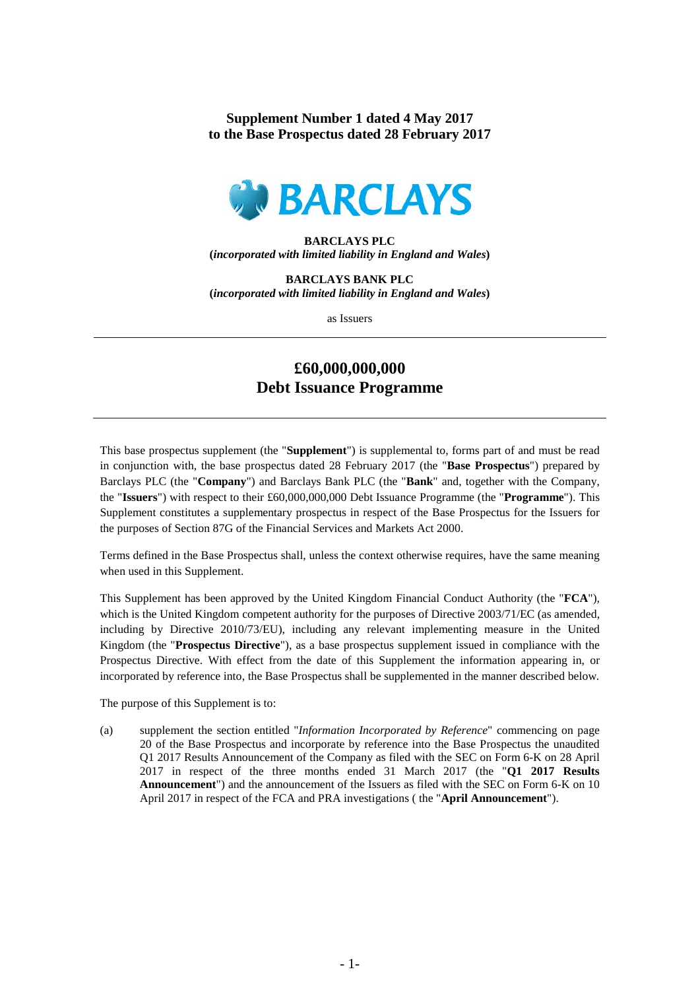**Supplement Number 1 dated 4 May 2017 to the Base Prospectus dated 28 February 2017**



## **BARCLAYS PLC (***incorporated with limited liability in England and Wales***)**

**BARCLAYS BANK PLC (***incorporated with limited liability in England and Wales***)**

as Issuers

## **£60,000,000,000 Debt Issuance Programme**

This base prospectus supplement (the "**Supplement**") is supplemental to, forms part of and must be read in conjunction with, the base prospectus dated 28 February 2017 (the "**Base Prospectus**") prepared by Barclays PLC (the "**Company**") and Barclays Bank PLC (the "**Bank**" and, together with the Company, the "**Issuers**") with respect to their £60,000,000,000 Debt Issuance Programme (the "**Programme**"). This Supplement constitutes a supplementary prospectus in respect of the Base Prospectus for the Issuers for the purposes of Section 87G of the Financial Services and Markets Act 2000.

Terms defined in the Base Prospectus shall, unless the context otherwise requires, have the same meaning when used in this Supplement.

This Supplement has been approved by the United Kingdom Financial Conduct Authority (the "**FCA**"), which is the United Kingdom competent authority for the purposes of Directive 2003/71/EC (as amended, including by Directive 2010/73/EU), including any relevant implementing measure in the United Kingdom (the "**Prospectus Directive**"), as a base prospectus supplement issued in compliance with the Prospectus Directive. With effect from the date of this Supplement the information appearing in, or incorporated by reference into, the Base Prospectus shall be supplemented in the manner described below.

The purpose of this Supplement is to:

(a) supplement the section entitled "*Information Incorporated by Reference*" commencing on page 20 of the Base Prospectus and incorporate by reference into the Base Prospectus the unaudited Q1 2017 Results Announcement of the Company as filed with the SEC on Form 6-K on 28 April 2017 in respect of the three months ended 31 March 2017 (the "**Q1 2017 Results Announcement**") and the announcement of the Issuers as filed with the SEC on Form 6-K on 10 April 2017 in respect of the FCA and PRA investigations ( the "**April Announcement**").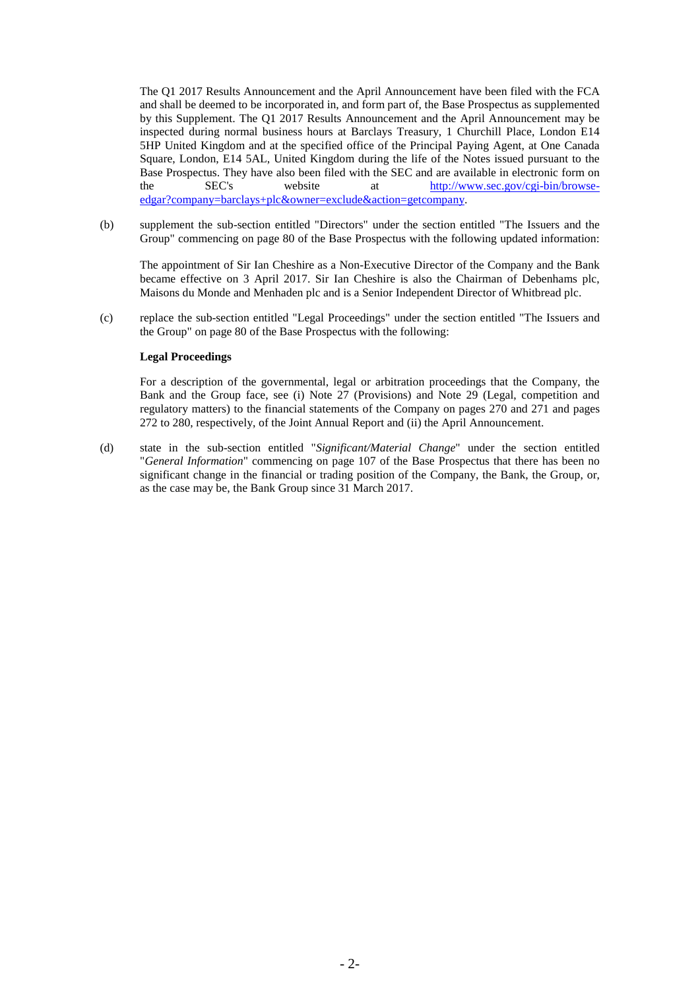The Q1 2017 Results Announcement and the April Announcement have been filed with the FCA and shall be deemed to be incorporated in, and form part of, the Base Prospectus as supplemented by this Supplement. The Q1 2017 Results Announcement and the April Announcement may be inspected during normal business hours at Barclays Treasury, 1 Churchill Place, London E14 5HP United Kingdom and at the specified office of the Principal Paying Agent, at One Canada Square, London, E14 5AL, United Kingdom during the life of the Notes issued pursuant to the Base Prospectus. They have also been filed with the SEC and are available in electronic form on the SEC's website at http://www.sec.gov/cgi-bin/browse[http://www.sec.gov/cgi-bin/browse](http://www.sec.gov/cgi-bin/browse-edgar?company=barclays+plc&owner=exclude&action=getcompany)[edgar?company=barclays+plc&owner=exclude&action=getcompany.](http://www.sec.gov/cgi-bin/browse-edgar?company=barclays+plc&owner=exclude&action=getcompany)

(b) supplement the sub-section entitled "Directors" under the section entitled "The Issuers and the Group" commencing on page 80 of the Base Prospectus with the following updated information:

The appointment of Sir Ian Cheshire as a Non-Executive Director of the Company and the Bank became effective on 3 April 2017. Sir Ian Cheshire is also the Chairman of Debenhams plc, Maisons du Monde and Menhaden plc and is a Senior Independent Director of Whitbread plc.

(c) replace the sub-section entitled "Legal Proceedings" under the section entitled "The Issuers and the Group" on page 80 of the Base Prospectus with the following:

## **Legal Proceedings**

For a description of the governmental, legal or arbitration proceedings that the Company, the Bank and the Group face, see (i) Note 27 (Provisions) and Note 29 (Legal, competition and regulatory matters) to the financial statements of the Company on pages 270 and 271 and pages 272 to 280, respectively, of the Joint Annual Report and (ii) the April Announcement.

(d) state in the sub-section entitled "*Significant/Material Change*" under the section entitled "*General Information*" commencing on page 107 of the Base Prospectus that there has been no significant change in the financial or trading position of the Company, the Bank, the Group, or, as the case may be, the Bank Group since 31 March 2017.